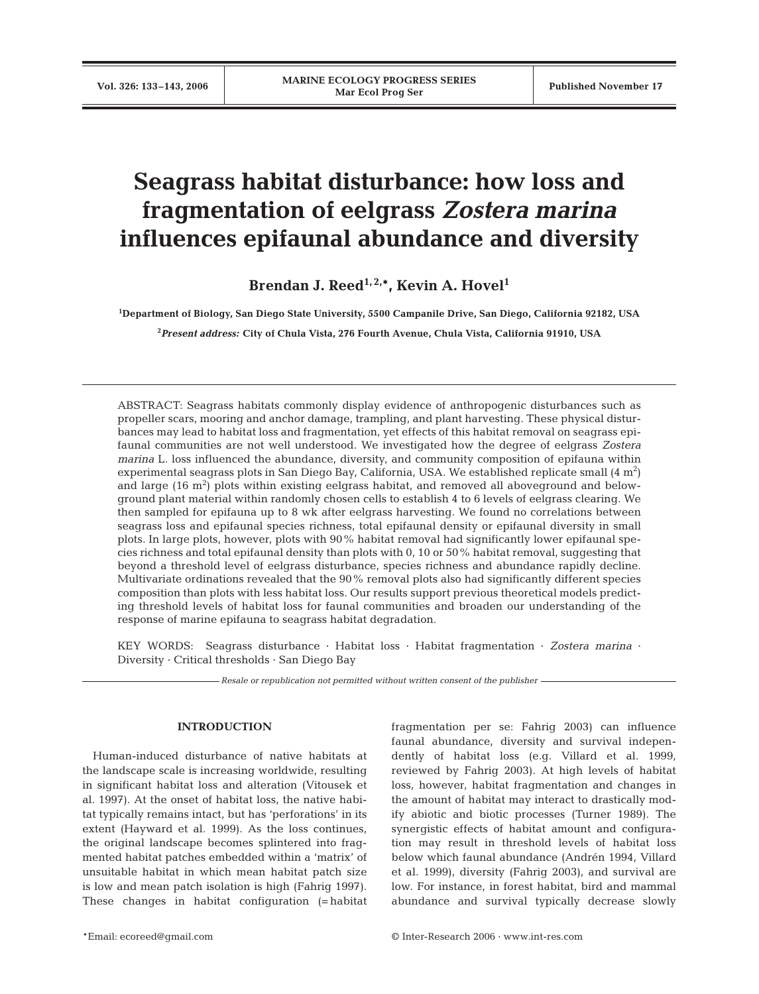# **Seagrass habitat disturbance: how loss and fragmentation of eelgrass** *Zostera marina* **influences epifaunal abundance and diversity**

Brendan J. Reed<sup>1, 2,\*</sup>, Kevin A. Hovel<sup>1</sup>

**1 Department of Biology, San Diego State University, 5500 Campanile Drive, San Diego, California 92182, USA**

**2** *Present address:* **City of Chula Vista, 276 Fourth Avenue, Chula Vista, California 91910, USA**

ABSTRACT: Seagrass habitats commonly display evidence of anthropogenic disturbances such as propeller scars, mooring and anchor damage, trampling, and plant harvesting. These physical disturbances may lead to habitat loss and fragmentation, yet effects of this habitat removal on seagrass epifaunal communities are not well understood. We investigated how the degree of eelgrass *Zostera marina* L. loss influenced the abundance, diversity, and community composition of epifauna within experimental seagrass plots in San Diego Bay, California, USA. We established replicate small (4  $\mathrm{m}^{2}\mathrm{)}$ and large  $(16 \text{ m}^2)$  plots within existing eelgrass habitat, and removed all aboveground and belowground plant material within randomly chosen cells to establish 4 to 6 levels of eelgrass clearing. We then sampled for epifauna up to 8 wk after eelgrass harvesting. We found no correlations between seagrass loss and epifaunal species richness, total epifaunal density or epifaunal diversity in small plots. In large plots, however, plots with 90% habitat removal had significantly lower epifaunal species richness and total epifaunal density than plots with 0, 10 or 50% habitat removal, suggesting that beyond a threshold level of eelgrass disturbance, species richness and abundance rapidly decline. Multivariate ordinations revealed that the 90% removal plots also had significantly different species composition than plots with less habitat loss. Our results support previous theoretical models predicting threshold levels of habitat loss for faunal communities and broaden our understanding of the response of marine epifauna to seagrass habitat degradation.

KEY WORDS: Seagrass disturbance · Habitat loss · Habitat fragmentation · *Zostera marina* · Diversity · Critical thresholds · San Diego Bay

*Resale or republication not permitted without written consent of the publisher*

## **INTRODUCTION**

Human-induced disturbance of native habitats at the landscape scale is increasing worldwide, resulting in significant habitat loss and alteration (Vitousek et al. 1997). At the onset of habitat loss, the native habitat typically remains intact, but has 'perforations' in its extent (Hayward et al. 1999). As the loss continues, the original landscape becomes splintered into fragmented habitat patches embedded within a 'matrix' of unsuitable habitat in which mean habitat patch size is low and mean patch isolation is high (Fahrig 1997). These changes in habitat configuration (= habitat fragmentation per se: Fahrig 2003) can influence faunal abundance, diversity and survival independently of habitat loss (e.g. Villard et al. 1999, reviewed by Fahrig 2003). At high levels of habitat loss, however, habitat fragmentation and changes in the amount of habitat may interact to drastically modify abiotic and biotic processes (Turner 1989). The synergistic effects of habitat amount and configuration may result in threshold levels of habitat loss below which faunal abundance (Andrén 1994, Villard et al. 1999), diversity (Fahrig 2003), and survival are low. For instance, in forest habitat, bird and mammal abundance and survival typically decrease slowly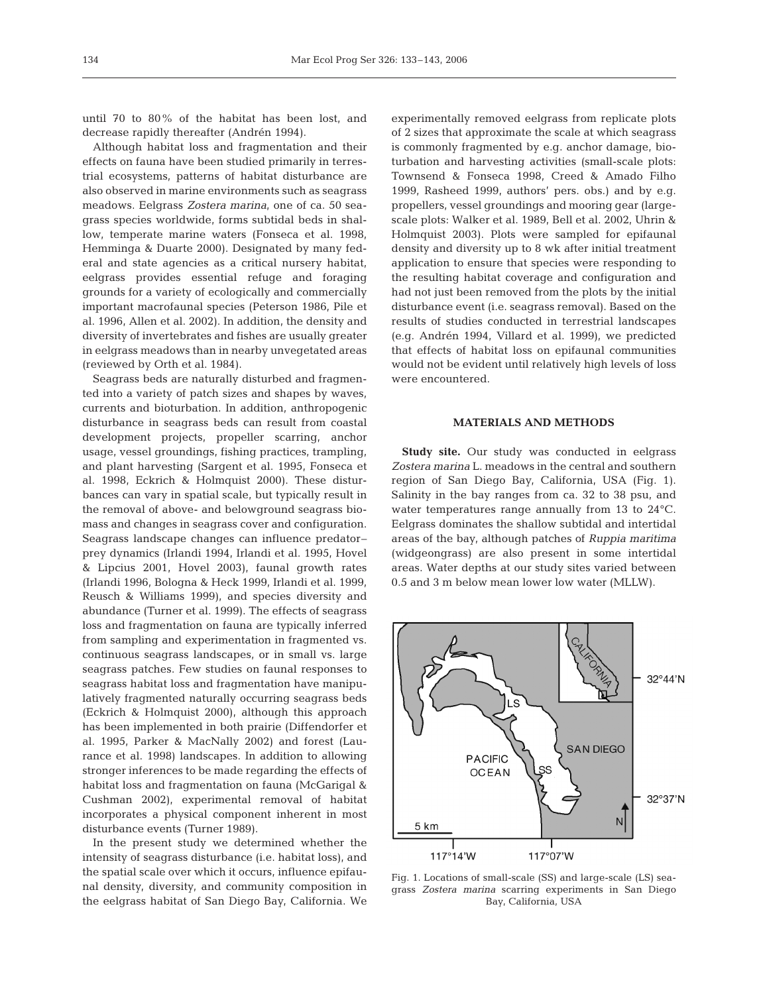until 70 to 80% of the habitat has been lost, and decrease rapidly thereafter (Andrén 1994).

Although habitat loss and fragmentation and their effects on fauna have been studied primarily in terrestrial ecosystems, patterns of habitat disturbance are also observed in marine environments such as seagrass meadows. Eelgrass *Zostera marina*, one of ca. 50 seagrass species worldwide, forms subtidal beds in shallow, temperate marine waters (Fonseca et al. 1998, Hemminga & Duarte 2000). Designated by many federal and state agencies as a critical nursery habitat, eelgrass provides essential refuge and foraging grounds for a variety of ecologically and commercially important macrofaunal species (Peterson 1986, Pile et al. 1996, Allen et al. 2002). In addition, the density and diversity of invertebrates and fishes are usually greater in eelgrass meadows than in nearby unvegetated areas (reviewed by Orth et al. 1984).

Seagrass beds are naturally disturbed and fragmented into a variety of patch sizes and shapes by waves, currents and bioturbation. In addition, anthropogenic disturbance in seagrass beds can result from coastal development projects, propeller scarring, anchor usage, vessel groundings, fishing practices, trampling, and plant harvesting (Sargent et al. 1995, Fonseca et al. 1998, Eckrich & Holmquist 2000). These disturbances can vary in spatial scale, but typically result in the removal of above- and belowground seagrass biomass and changes in seagrass cover and configuration. Seagrass landscape changes can influence predator– prey dynamics (Irlandi 1994, Irlandi et al. 1995, Hovel & Lipcius 2001, Hovel 2003), faunal growth rates (Irlandi 1996, Bologna & Heck 1999, Irlandi et al. 1999, Reusch & Williams 1999), and species diversity and abundance (Turner et al. 1999). The effects of seagrass loss and fragmentation on fauna are typically inferred from sampling and experimentation in fragmented vs. continuous seagrass landscapes, or in small vs. large seagrass patches. Few studies on faunal responses to seagrass habitat loss and fragmentation have manipulatively fragmented naturally occurring seagrass beds (Eckrich & Holmquist 2000), although this approach has been implemented in both prairie (Diffendorfer et al. 1995, Parker & MacNally 2002) and forest (Laurance et al. 1998) landscapes. In addition to allowing stronger inferences to be made regarding the effects of habitat loss and fragmentation on fauna (McGarigal & Cushman 2002), experimental removal of habitat incorporates a physical component inherent in most disturbance events (Turner 1989).

In the present study we determined whether the intensity of seagrass disturbance (i.e. habitat loss), and the spatial scale over which it occurs, influence epifaunal density, diversity, and community composition in the eelgrass habitat of San Diego Bay, California. We experimentally removed eelgrass from replicate plots of 2 sizes that approximate the scale at which seagrass is commonly fragmented by e.g. anchor damage, bioturbation and harvesting activities (small-scale plots: Townsend & Fonseca 1998, Creed & Amado Filho 1999, Rasheed 1999, authors' pers. obs.) and by e.g. propellers, vessel groundings and mooring gear (largescale plots: Walker et al. 1989, Bell et al. 2002, Uhrin & Holmquist 2003). Plots were sampled for epifaunal density and diversity up to 8 wk after initial treatment application to ensure that species were responding to the resulting habitat coverage and configuration and had not just been removed from the plots by the initial disturbance event (i.e. seagrass removal). Based on the results of studies conducted in terrestrial landscapes (e.g. Andrén 1994, Villard et al. 1999), we predicted that effects of habitat loss on epifaunal communities would not be evident until relatively high levels of loss were encountered.

## **MATERIALS AND METHODS**

**Study site.** Our study was conducted in eelgrass *Zostera marina* L. meadows in the central and southern region of San Diego Bay, California, USA (Fig. 1). Salinity in the bay ranges from ca. 32 to 38 psu, and water temperatures range annually from 13 to 24°C. Eelgrass dominates the shallow subtidal and intertidal areas of the bay, although patches of *Ruppia maritima* (widgeongrass) are also present in some intertidal areas. Water depths at our study sites varied between 0.5 and 3 m below mean lower low water (MLLW).



Fig. 1. Locations of small-scale (SS) and large-scale (LS) seagrass *Zostera marina* scarring experiments in San Diego Bay, California, USA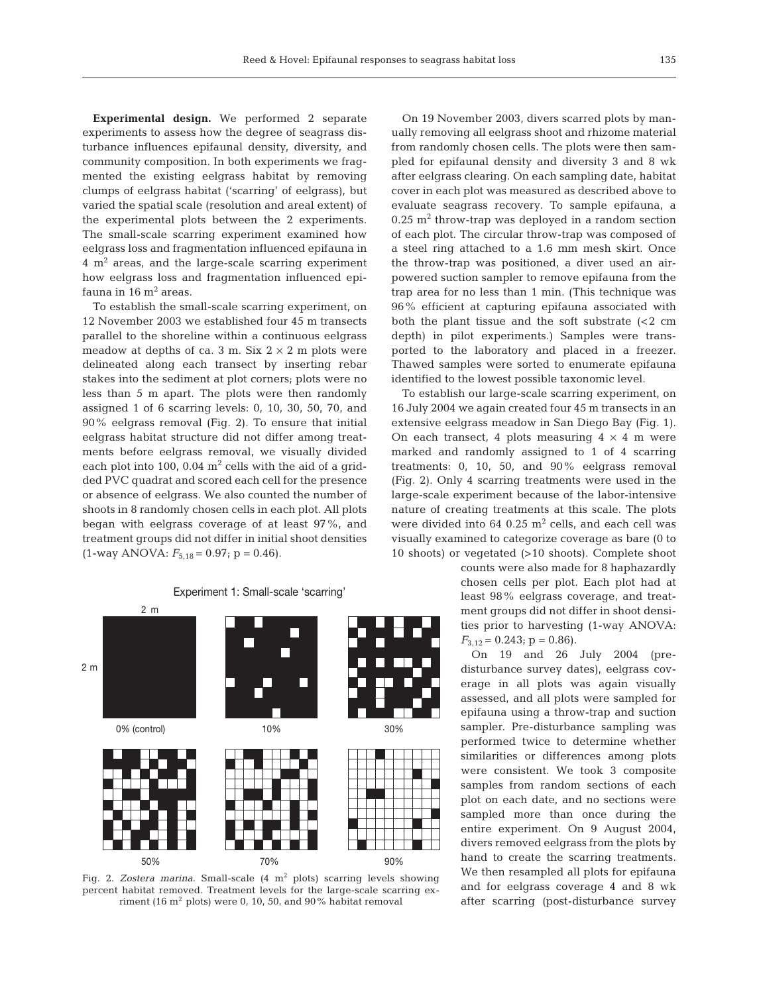**Experimental design.** We performed 2 separate experiments to assess how the degree of seagrass disturbance influences epifaunal density, diversity, and community composition. In both experiments we fragmented the existing eelgrass habitat by removing clumps of eelgrass habitat ('scarring' of eelgrass), but varied the spatial scale (resolution and areal extent) of the experimental plots between the 2 experiments. The small-scale scarring experiment examined how eelgrass loss and fragmentation influenced epifauna in  $4 \text{ m}^2$  areas, and the large-scale scarring experiment how eelgrass loss and fragmentation influenced epifauna in  $16 \text{ m}^2$  areas.

To establish the small-scale scarring experiment, on 12 November 2003 we established four 45 m transects parallel to the shoreline within a continuous eelgrass meadow at depths of ca. 3 m. Six  $2 \times 2$  m plots were delineated along each transect by inserting rebar stakes into the sediment at plot corners; plots were no less than 5 m apart. The plots were then randomly assigned 1 of 6 scarring levels: 0, 10, 30, 50, 70, and 90% eelgrass removal (Fig. 2). To ensure that initial eelgrass habitat structure did not differ among treatments before eelgrass removal, we visually divided each plot into 100, 0.04  $m<sup>2</sup>$  cells with the aid of a gridded PVC quadrat and scored each cell for the presence or absence of eelgrass. We also counted the number of shoots in 8 randomly chosen cells in each plot. All plots began with eelgrass coverage of at least 97%, and treatment groups did not differ in initial shoot densities  $(1\text{-way ANOVA: } F_{5,18} = 0.97; \text{ p} = 0.46).$ 

30% 50% 10% 2 m 2 m 0% (control)

Experiment 1: Small-scale 'scarring'

Fig. 2. *Zostera marina*. Small-scale (4 m<sup>2</sup> plots) scarring levels showing percent habitat removed. Treatment levels for the large-scale scarring exriment (16  $\text{m}^2$  plots) were 0, 10, 50, and 90% habitat removal

70% 90%

On 19 November 2003, divers scarred plots by manually removing all eelgrass shoot and rhizome material from randomly chosen cells. The plots were then sampled for epifaunal density and diversity 3 and 8 wk after eelgrass clearing. On each sampling date, habitat cover in each plot was measured as described above to evaluate seagrass recovery. To sample epifauna, a  $0.25$  m<sup>2</sup> throw-trap was deployed in a random section of each plot. The circular throw-trap was composed of a steel ring attached to a 1.6 mm mesh skirt. Once the throw-trap was positioned, a diver used an airpowered suction sampler to remove epifauna from the trap area for no less than 1 min. (This technique was 96% efficient at capturing epifauna associated with both the plant tissue and the soft substrate  $\leq 2$  cm depth) in pilot experiments.) Samples were transported to the laboratory and placed in a freezer. Thawed samples were sorted to enumerate epifauna identified to the lowest possible taxonomic level.

To establish our large-scale scarring experiment, on 16 July 2004 we again created four 45 m transects in an extensive eelgrass meadow in San Diego Bay (Fig. 1). On each transect, 4 plots measuring  $4 \times 4$  m were marked and randomly assigned to 1 of 4 scarring treatments: 0, 10, 50, and 90% eelgrass removal (Fig. 2). Only 4 scarring treatments were used in the large-scale experiment because of the labor-intensive nature of creating treatments at this scale. The plots were divided into 64 0.25  $m^2$  cells, and each cell was visually examined to categorize coverage as bare (0 to 10 shoots) or vegetated (>10 shoots). Complete shoot

> counts were also made for 8 haphazardly chosen cells per plot. Each plot had at least 98% eelgrass coverage, and treatment groups did not differ in shoot densities prior to harvesting (1-way ANOVA:  $F_{3,12} = 0.243$ ; p = 0.86).

> On 19 and 26 July 2004 (predisturbance survey dates), eelgrass coverage in all plots was again visually assessed, and all plots were sampled for epifauna using a throw-trap and suction sampler. Pre-disturbance sampling was performed twice to determine whether similarities or differences among plots were consistent. We took 3 composite samples from random sections of each plot on each date, and no sections were sampled more than once during the entire experiment. On 9 August 2004, divers removed eelgrass from the plots by hand to create the scarring treatments. We then resampled all plots for epifauna and for eelgrass coverage 4 and 8 wk after scarring (post-disturbance survey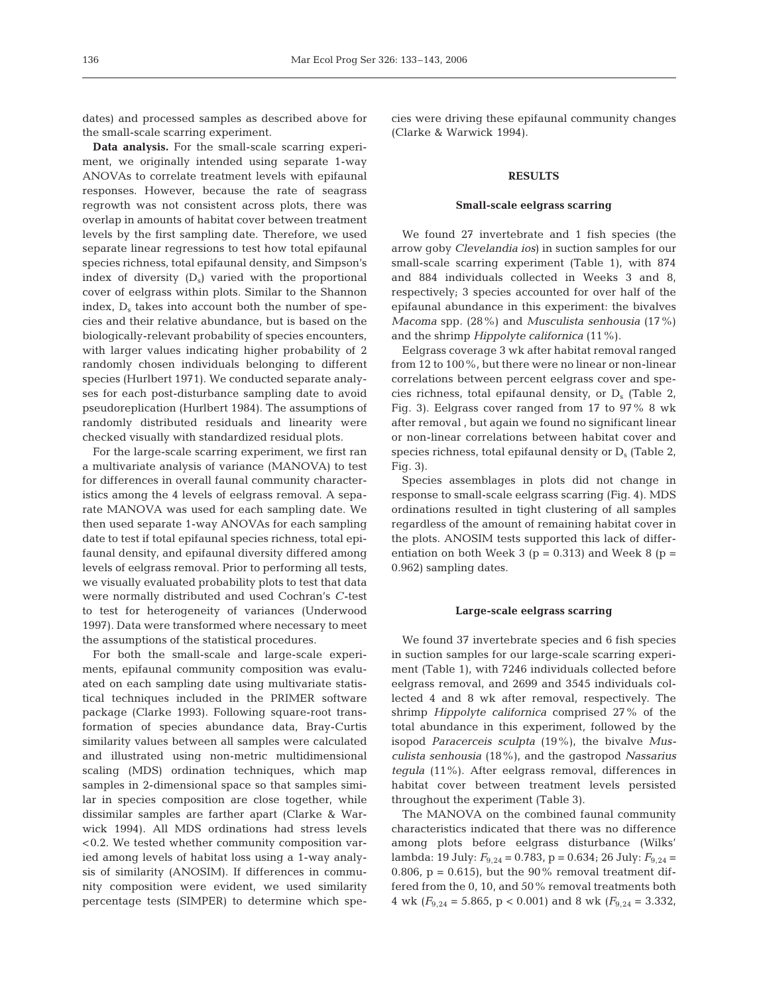dates) and processed samples as described above for the small-scale scarring experiment.

**Data analysis.** For the small-scale scarring experiment, we originally intended using separate 1-way ANOVAs to correlate treatment levels with epifaunal responses. However, because the rate of seagrass regrowth was not consistent across plots, there was overlap in amounts of habitat cover between treatment levels by the first sampling date. Therefore, we used separate linear regressions to test how total epifaunal species richness, total epifaunal density, and Simpson's index of diversity  $(D_s)$  varied with the proportional cover of eelgrass within plots. Similar to the Shannon index,  $D_s$  takes into account both the number of species and their relative abundance, but is based on the biologically-relevant probability of species encounters, with larger values indicating higher probability of 2 randomly chosen individuals belonging to different species (Hurlbert 1971). We conducted separate analyses for each post-disturbance sampling date to avoid pseudoreplication (Hurlbert 1984). The assumptions of randomly distributed residuals and linearity were checked visually with standardized residual plots.

For the large-scale scarring experiment, we first ran a multivariate analysis of variance (MANOVA) to test for differences in overall faunal community characteristics among the 4 levels of eelgrass removal. A separate MANOVA was used for each sampling date. We then used separate 1-way ANOVAs for each sampling date to test if total epifaunal species richness, total epifaunal density, and epifaunal diversity differed among levels of eelgrass removal. Prior to performing all tests, we visually evaluated probability plots to test that data were normally distributed and used Cochran's *C*-test to test for heterogeneity of variances (Underwood 1997). Data were transformed where necessary to meet the assumptions of the statistical procedures.

For both the small-scale and large-scale experiments, epifaunal community composition was evaluated on each sampling date using multivariate statistical techniques included in the PRIMER software package (Clarke 1993). Following square-root transformation of species abundance data, Bray-Curtis similarity values between all samples were calculated and illustrated using non-metric multidimensional scaling (MDS) ordination techniques, which map samples in 2-dimensional space so that samples similar in species composition are close together, while dissimilar samples are farther apart (Clarke & Warwick 1994). All MDS ordinations had stress levels <0.2. We tested whether community composition varied among levels of habitat loss using a 1-way analysis of similarity (ANOSIM). If differences in community composition were evident, we used similarity percentage tests (SIMPER) to determine which species were driving these epifaunal community changes (Clarke & Warwick 1994).

## **RESULTS**

#### **Small-scale eelgrass scarring**

We found 27 invertebrate and 1 fish species (the arrow goby *Clevelandia ios*) in suction samples for our small-scale scarring experiment (Table 1), with 874 and 884 individuals collected in Weeks 3 and 8, respectively; 3 species accounted for over half of the epifaunal abundance in this experiment: the bivalves *Macoma* spp. (28%) and *Musculista senhousia* (17%) and the shrimp *Hippolyte californica* (11%).

Eelgrass coverage 3 wk after habitat removal ranged from 12 to 100%, but there were no linear or non-linear correlations between percent eelgrass cover and species richness, total epifaunal density, or  $D_s$  (Table 2, Fig. 3). Eelgrass cover ranged from 17 to 97% 8 wk after removal , but again we found no significant linear or non-linear correlations between habitat cover and species richness, total epifaunal density or  $D_s$  (Table 2, Fig. 3).

Species assemblages in plots did not change in response to small-scale eelgrass scarring (Fig. 4). MDS ordinations resulted in tight clustering of all samples regardless of the amount of remaining habitat cover in the plots. ANOSIM tests supported this lack of differentiation on both Week 3 ( $p = 0.313$ ) and Week 8 ( $p =$ 0.962) sampling dates.

## **Large-scale eelgrass scarring**

We found 37 invertebrate species and 6 fish species in suction samples for our large-scale scarring experiment (Table 1), with 7246 individuals collected before eelgrass removal, and 2699 and 3545 individuals collected 4 and 8 wk after removal, respectively. The shrimp *Hippolyte californica* comprised 27% of the total abundance in this experiment, followed by the isopod *Paracerceis sculpta* (19%), the bivalve *Musculista senhousia* (18%), and the gastropod *Nassarius tegula* (11%). After eelgrass removal, differences in habitat cover between treatment levels persisted throughout the experiment (Table 3).

The MANOVA on the combined faunal community characteristics indicated that there was no difference among plots before eelgrass disturbance (Wilks' lambda: 19 July:  $F_{9,24} = 0.783$ , p = 0.634; 26 July:  $F_{9,24} =$ 0.806,  $p = 0.615$ , but the 90% removal treatment differed from the 0, 10, and 50% removal treatments both 4 wk  $(F_{9,24} = 5.865, p < 0.001)$  and 8 wk  $(F_{9,24} = 3.332,$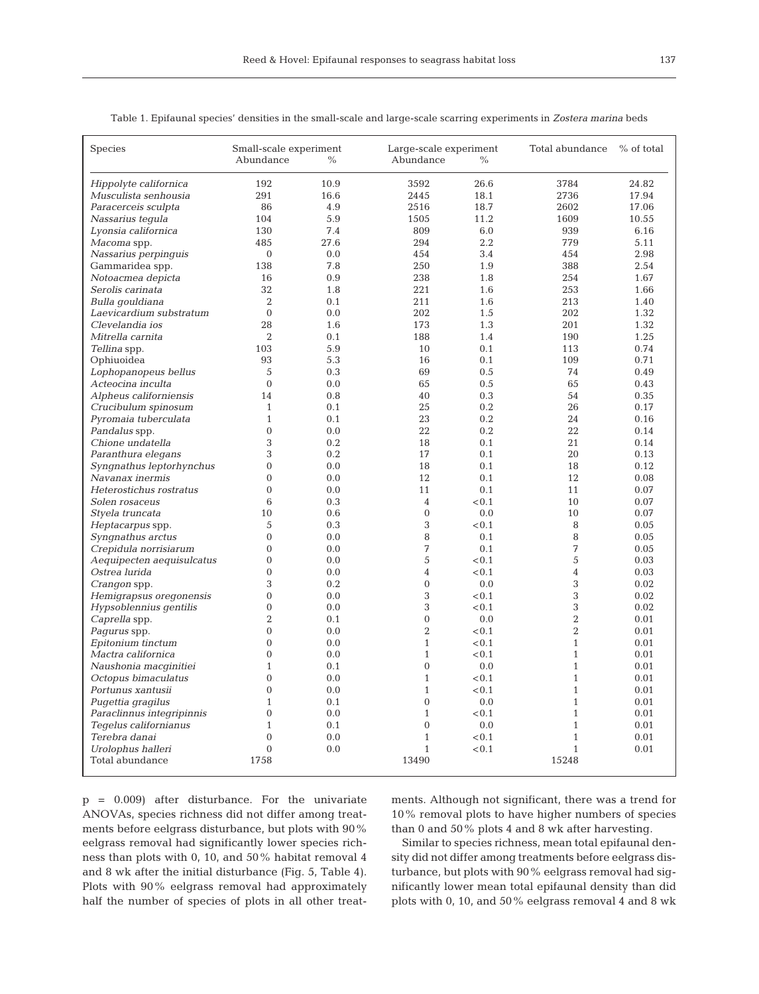| ۹<br>I<br>×<br>$\sim$ |  |
|-----------------------|--|
|                       |  |

| Species                   | Small-scale experiment<br>Abundance | $\%$ | Large-scale experiment<br>Abundance<br>$\%$ |       | Total abundance | $%$ of total |
|---------------------------|-------------------------------------|------|---------------------------------------------|-------|-----------------|--------------|
| Hippolyte californica     | 192                                 | 10.9 | 3592                                        | 26.6  | 3784            | 24.82        |
| Musculista senhousia      | 291                                 | 16.6 | 2445                                        | 18.1  | 2736            | 17.94        |
| Paracerceis sculpta       | 86                                  | 4.9  | 2516                                        | 18.7  | 2602            | 17.06        |
| Nassarius tequla          | 104                                 | 5.9  | 1505                                        | 11.2  | 1609            | 10.55        |
| Lyonsia californica       | 130                                 | 7.4  | 809                                         | 6.0   | 939             | 6.16         |
| Macoma spp.               | 485                                 | 27.6 | 294                                         | 2.2   | 779             | 5.11         |
| Nassarius perpinquis      | $\mathbf{0}$                        | 0.0  | 454                                         | 3.4   | 454             | 2.98         |
| Gammaridea spp.           | 138                                 | 7.8  | 250                                         | 1.9   | 388             | 2.54         |
| Notoacmea depicta         | 16                                  | 0.9  | 238                                         | 1.8   | 254             | 1.67         |
| Serolis carinata          | 32                                  | 1.8  | 221                                         | 1.6   | 253             | 1.66         |
| Bulla gouldiana           | $\boldsymbol{2}$                    | 0.1  | 211                                         | 1.6   | 213             | 1.40         |
| Laevicardium substratum   | $\mathbf{0}$                        | 0.0  | 202                                         | 1.5   | 202             | 1.32         |
| Clevelandia ios           | 28                                  | 1.6  | 173                                         | 1.3   | 201             | 1.32         |
| Mitrella carnita          | $\overline{2}$                      | 0.1  | 188                                         | 1.4   | 190             | 1.25         |
| Tellina spp.              | 103                                 | 5.9  | 10                                          | 0.1   | 113             | 0.74         |
| Ophiuoidea                | 93                                  | 5.3  | 16                                          | 0.1   | 109             | 0.71         |
| Lophopanopeus bellus      | 5                                   | 0.3  | 69                                          | 0.5   | 74              | 0.49         |
| Acteocina inculta         | $\mathbf{0}$                        | 0.0  | 65                                          | 0.5   | 65              | 0.43         |
| Alpheus californiensis    | 14                                  | 0.8  | 40                                          | 0.3   | 54              | 0.35         |
| Crucibulum spinosum       | $\mathbf{1}$                        | 0.1  | 25                                          | 0.2   | 26              | 0.17         |
| Pyromaia tuberculata      | $\mathbf{1}$                        | 0.1  | 23                                          | 0.2   | 24              | 0.16         |
| Pandalus spp.             | $\overline{0}$                      | 0.0  | 22                                          | 0.2   | 22              | 0.14         |
| Chione undatella          | 3                                   | 0.2  | 18                                          | 0.1   | 21              | 0.14         |
| Paranthura elegans        | 3                                   | 0.2  | 17                                          | 0.1   | 20              | 0.13         |
| Syngnathus leptorhynchus  | $\overline{0}$                      | 0.0  | 18                                          | 0.1   | 18              | 0.12         |
| Navanax inermis           | $\Omega$                            | 0.0  | 12                                          | 0.1   | 12              | 0.08         |
| Heterostichus rostratus   | $\overline{0}$                      | 0.0  | 11                                          | 0.1   | 11              | 0.07         |
| Solen rosaceus            | 6                                   | 0.3  | $\overline{4}$                              | < 0.1 | 10              | 0.07         |
| Styela truncata           | 10                                  | 0.6  | $\theta$                                    | 0.0   | 10              | 0.07         |
| Heptacarpus spp.          | 5                                   | 0.3  | 3                                           | < 0.1 | 8               | 0.05         |
| Syngnathus arctus         | $\overline{0}$                      | 0.0  | 8                                           | 0.1   | 8               | 0.05         |
| Crepidula norrisiarum     | $\overline{0}$                      | 0.0  | 7                                           | 0.1   | 7               | 0.05         |
| Aequipecten aequisulcatus | $\overline{0}$                      | 0.0  | 5                                           | < 0.1 | 5               | 0.03         |
| Ostrea lurida             | $\overline{0}$                      | 0.0  | $\overline{4}$                              | < 0.1 | $\overline{4}$  | 0.03         |
| Crangon spp.              | 3                                   | 0.2  | $\overline{0}$                              | 0.0   | 3               | 0.02         |
| Hemigrapsus oregonensis   | $\Omega$                            | 0.0  | 3                                           | < 0.1 | 3               | 0.02         |
| Hypsoblennius gentilis    | $\overline{0}$                      | 0.0  | 3                                           | < 0.1 | 3               | 0.02         |
| Caprella spp.             | $\overline{2}$                      | 0.1  | $\overline{0}$                              | 0.0   | $\overline{2}$  | 0.01         |
| <i>Pagurus</i> spp.       | $\overline{0}$                      | 0.0  | $\overline{2}$                              | < 0.1 | $\overline{2}$  | 0.01         |
| Epitonium tinctum         | $\overline{0}$                      | 0.0  | $\mathbf{1}$                                | < 0.1 | $\mathbf{1}$    | 0.01         |
| Mactra californica        | $\overline{0}$                      | 0.0  | $\mathbf{1}$                                | < 0.1 | $\mathbf{1}$    | 0.01         |
| Naushonia macqinitiei     | $\mathbf{1}$                        | 0.1  | $\overline{0}$                              | 0.0   | $\mathbf{1}$    | 0.01         |
| Octopus bimaculatus       | $\overline{0}$                      | 0.0  | $\mathbf{1}$                                | < 0.1 | $\mathbf{1}$    | 0.01         |
| Portunus xantusii         | $\overline{0}$                      | 0.0  | $\mathbf{1}$                                | < 0.1 | $\mathbf{1}$    | 0.01         |
| Pugettia gragilus         | $\mathbf{1}$                        | 0.1  | $\overline{0}$                              | 0.0   | $\mathbf{1}$    | 0.01         |
| Paraclinnus integripinnis | $\overline{0}$                      | 0.0  | $1\,$                                       | < 0.1 | $\mathbf{1}$    | 0.01         |
| Tegelus californianus     | $\mathbf{1}$                        | 0.1  | $\overline{0}$                              | 0.0   | $\mathbf{1}$    | 0.01         |
| Terebra danai             | $\overline{0}$                      | 0.0  | $\mathbf{1}$                                | < 0.1 | $\mathbf{1}$    | 0.01         |
| Urolophus halleri         | $\mathbf{0}$                        | 0.0  | $\mathbf{1}$                                | < 0.1 | $\mathbf{1}$    | 0.01         |
| Total abundance           | 1758                                |      | 13490                                       |       | 15248           |              |
|                           |                                     |      |                                             |       |                 |              |

Table 1. Epifaunal species' densities in the small-scale and large-scale scarring experiments in *Zostera marina* beds

p = 0.009) after disturbance. For the univariate ANOVAs, species richness did not differ among treatments before eelgrass disturbance, but plots with 90% eelgrass removal had significantly lower species richness than plots with 0, 10, and 50% habitat removal 4 and 8 wk after the initial disturbance (Fig. 5, Table 4). Plots with 90% eelgrass removal had approximately half the number of species of plots in all other treatments. Although not significant, there was a trend for 10% removal plots to have higher numbers of species than 0 and 50% plots 4 and 8 wk after harvesting.

Similar to species richness, mean total epifaunal density did not differ among treatments before eelgrass disturbance, but plots with 90% eelgrass removal had significantly lower mean total epifaunal density than did plots with 0, 10, and 50% eelgrass removal 4 and 8 wk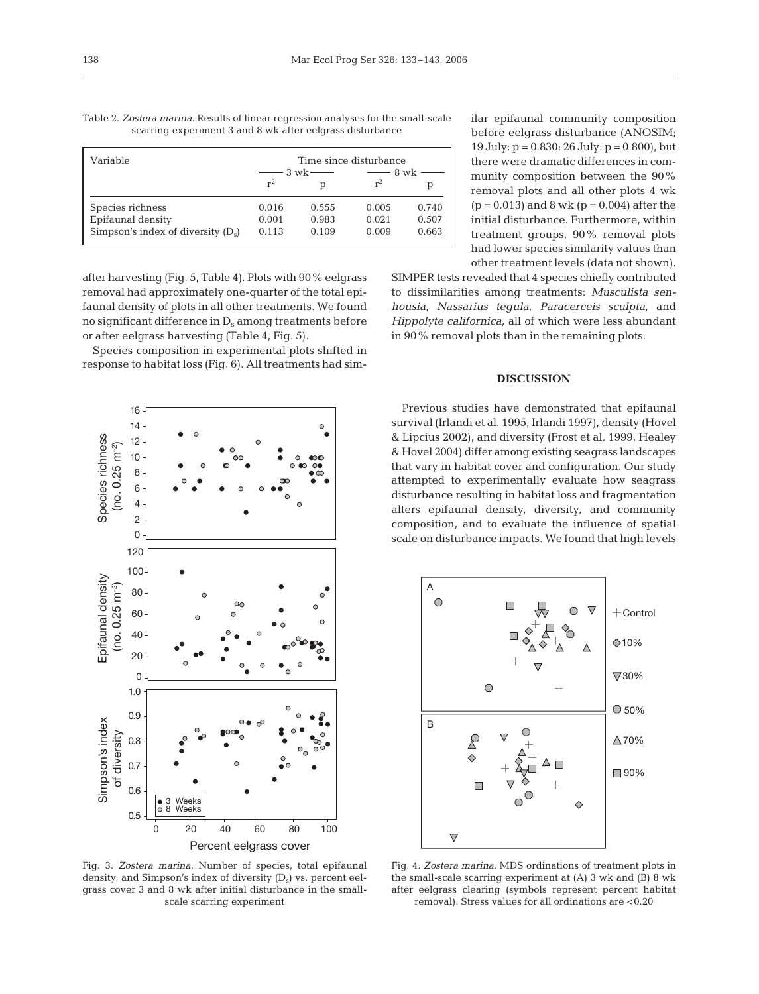| scarring experiment 3 and 8 wk after eelgrass disturbance |  |
|-----------------------------------------------------------|--|
|-----------------------------------------------------------|--|

| Variable                             | Time since disturbance |                                  |                    |       |  |
|--------------------------------------|------------------------|----------------------------------|--------------------|-------|--|
|                                      |                        | $\frac{1}{2}$ 3 wk $\frac{1}{2}$ | $\frac{1}{2}$ 8 wk |       |  |
|                                      | $r^2$                  |                                  |                    |       |  |
| Species richness                     | 0.016                  | 0.555                            | 0.005              | 0.740 |  |
| Epifaunal density                    | 0.001                  | 0.983                            | 0.021              | 0.507 |  |
| Simpson's index of diversity $(D_s)$ | 0.113                  | 0.109                            | 0.009              | 0.663 |  |

after harvesting (Fig. 5, Table 4). Plots with 90% eelgrass removal had approximately one-quarter of the total epifaunal density of plots in all other treatments. We found no significant difference in  $D_s$  among treatments before or after eelgrass harvesting (Table 4, Fig. 5).

Species composition in experimental plots shifted in response to habitat loss (Fig. 6). All treatments had sim-



Fig. 3. *Zostera marina*. Number of species, total epifaunal density, and Simpson's index of diversity  $(D<sub>s</sub>)$  vs. percent eelgrass cover 3 and 8 wk after initial disturbance in the smallscale scarring experiment

ilar epifaunal community composition before eelgrass disturbance (ANOSIM; 19 July:  $p = 0.830$ ; 26 July:  $p = 0.800$ ), but there were dramatic differences in community composition between the 90% removal plots and all other plots 4 wk  $(p = 0.013)$  and 8 wk  $(p = 0.004)$  after the initial disturbance. Furthermore, within treatment groups, 90% removal plots had lower species similarity values than other treatment levels (data not shown).

SIMPER tests revealed that 4 species chiefly contributed to dissimilarities among treatments: *Musculista senhousia*, *Nassarius tegula*, *Paracerceis sculpta*, and *Hippolyte californica,* all of which were less abundant in 90% removal plots than in the remaining plots.

# **DISCUSSION**

Previous studies have demonstrated that epifaunal survival (Irlandi et al. 1995, Irlandi 1997), density (Hovel & Lipcius 2002), and diversity (Frost et al. 1999, Healey & Hovel 2004) differ among existing seagrass landscapes that vary in habitat cover and configuration. Our study attempted to experimentally evaluate how seagrass disturbance resulting in habitat loss and fragmentation alters epifaunal density, diversity, and community composition, and to evaluate the influence of spatial scale on disturbance impacts. We found that high levels



Fig. 4. *Zostera marina*. MDS ordinations of treatment plots in the small-scale scarring experiment at (A) 3 wk and (B) 8 wk after eelgrass clearing (symbols represent percent habitat removal). Stress values for all ordinations are <0.20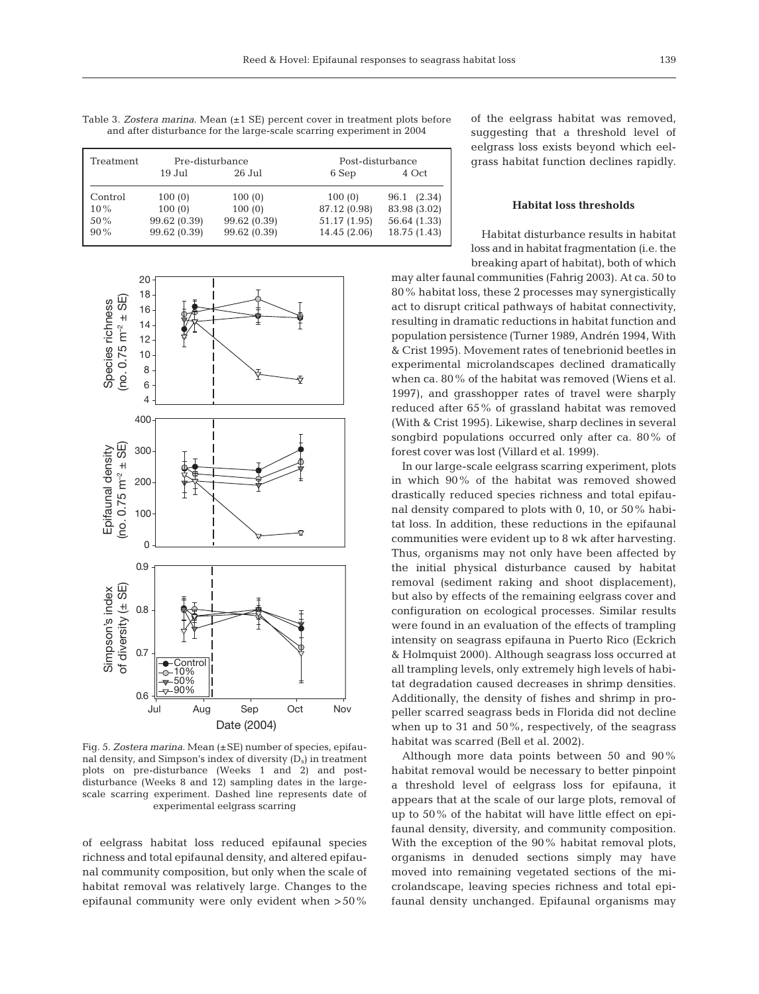| Table 3. Zostera marina. Mean $(\pm 1$ SE) percent cover in treatment plots before |  |
|------------------------------------------------------------------------------------|--|
| and after disturbance for the large-scale scarring experiment in 2004              |  |

| Treatment | Pre-disturbance |              | Post-disturbance |              |  |  |
|-----------|-----------------|--------------|------------------|--------------|--|--|
|           | 19 Jul          | 26 Jul       | 6 Sep            | 4 Oct        |  |  |
| Control   | 100(0)          | 100(0)       | 100(0)           | 96.1 (2.34)  |  |  |
| $10\%$    | 100(0)          | 100(0)       | 87.12 (0.98)     | 83.98 (3.02) |  |  |
| 50%       | 99.62 (0.39)    | 99.62 (0.39) | 51.17 (1.95)     | 56.64 (1.33) |  |  |
| $90\%$    | 99.62 (0.39)    | 99.62 (0.39) | 14.45 (2.06)     | 18.75 (1.43) |  |  |



Fig. 5. *Zostera marina*. Mean (±SE) number of species, epifaunal density, and Simpson's index of diversity  $(D_s)$  in treatment plots on pre-disturbance (Weeks 1 and 2) and postdisturbance (Weeks 8 and 12) sampling dates in the largescale scarring experiment. Dashed line represents date of experimental eelgrass scarring

of eelgrass habitat loss reduced epifaunal species richness and total epifaunal density, and altered epifaunal community composition, but only when the scale of habitat removal was relatively large. Changes to the epifaunal community were only evident when >50% of the eelgrass habitat was removed, suggesting that a threshold level of eelgrass loss exists beyond which eelgrass habitat function declines rapidly.

## **Habitat loss thresholds**

Habitat disturbance results in habitat loss and in habitat fragmentation (i.e. the breaking apart of habitat), both of which

may alter faunal communities (Fahrig 2003). At ca. 50 to 80% habitat loss, these 2 processes may synergistically act to disrupt critical pathways of habitat connectivity, resulting in dramatic reductions in habitat function and population persistence (Turner 1989, Andrén 1994, With & Crist 1995). Movement rates of tenebrionid beetles in experimental microlandscapes declined dramatically when ca. 80% of the habitat was removed (Wiens et al. 1997), and grasshopper rates of travel were sharply reduced after 65% of grassland habitat was removed (With & Crist 1995). Likewise, sharp declines in several songbird populations occurred only after ca. 80% of forest cover was lost (Villard et al. 1999).

In our large-scale eelgrass scarring experiment, plots in which 90% of the habitat was removed showed drastically reduced species richness and total epifaunal density compared to plots with 0, 10, or 50% habitat loss. In addition, these reductions in the epifaunal communities were evident up to 8 wk after harvesting. Thus, organisms may not only have been affected by the initial physical disturbance caused by habitat removal (sediment raking and shoot displacement), but also by effects of the remaining eelgrass cover and configuration on ecological processes. Similar results were found in an evaluation of the effects of trampling intensity on seagrass epifauna in Puerto Rico (Eckrich & Holmquist 2000). Although seagrass loss occurred at all trampling levels, only extremely high levels of habitat degradation caused decreases in shrimp densities. Additionally, the density of fishes and shrimp in propeller scarred seagrass beds in Florida did not decline when up to 31 and 50%, respectively, of the seagrass habitat was scarred (Bell et al. 2002).

Although more data points between 50 and 90% habitat removal would be necessary to better pinpoint a threshold level of eelgrass loss for epifauna, it appears that at the scale of our large plots, removal of up to 50% of the habitat will have little effect on epifaunal density, diversity, and community composition. With the exception of the 90% habitat removal plots, organisms in denuded sections simply may have moved into remaining vegetated sections of the microlandscape, leaving species richness and total epifaunal density unchanged. Epifaunal organisms may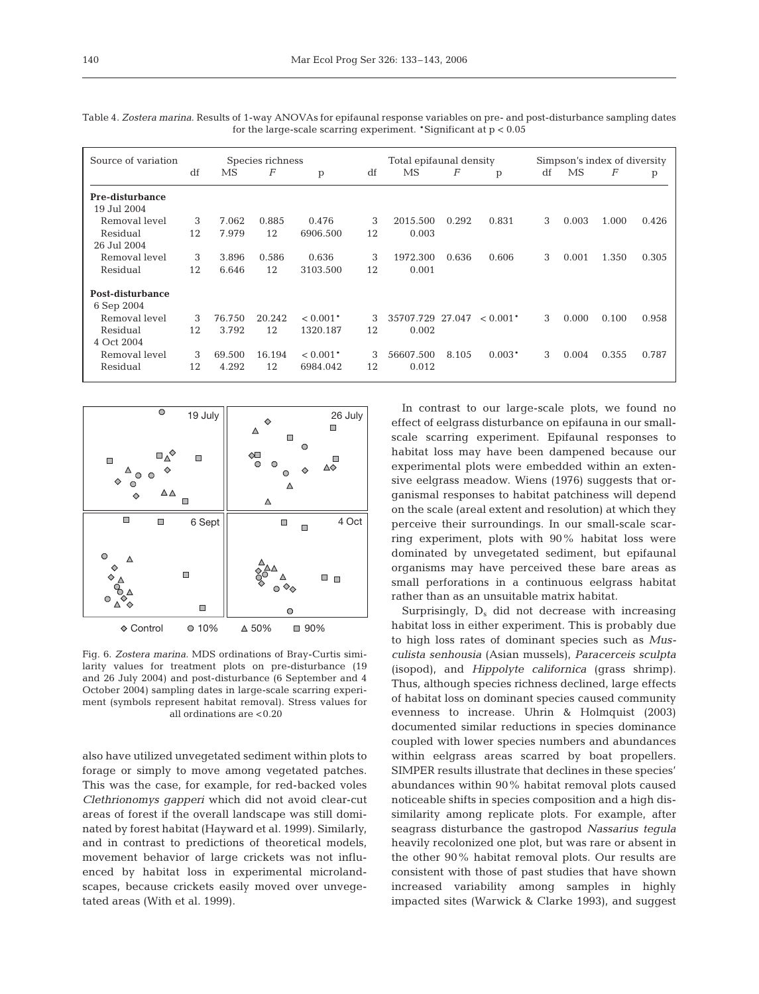| Source of variation<br>Species richness |    |        |                  | Total epifaunal density |    |                  | Simpson's index of diversity |            |    |       |       |       |
|-----------------------------------------|----|--------|------------------|-------------------------|----|------------------|------------------------------|------------|----|-------|-------|-------|
|                                         | df | MS     | $\boldsymbol{F}$ | p                       | df | MS               | F                            | p          | df | MS    | F     | p     |
|                                         |    |        |                  |                         |    |                  |                              |            |    |       |       |       |
| Pre-disturbance                         |    |        |                  |                         |    |                  |                              |            |    |       |       |       |
| 19 Jul 2004                             |    |        |                  |                         |    |                  |                              |            |    |       |       |       |
| Removal level                           | 3  | 7.062  | 0.885            | 0.476                   | 3  | 2015.500         | 0.292                        | 0.831      | 3  | 0.003 | 1.000 | 0.426 |
| Residual                                | 12 | 7.979  | 12               | 6906.500                | 12 | 0.003            |                              |            |    |       |       |       |
| 26 Jul 2004                             |    |        |                  |                         |    |                  |                              |            |    |       |       |       |
| Removal level                           | 3  | 3.896  | 0.586            | 0.636                   | 3  | 1972.300         | 0.636                        | 0.606      | 3  | 0.001 | 1.350 | 0.305 |
| Residual                                | 12 | 6.646  | 12               | 3103.500                | 12 | 0.001            |                              |            |    |       |       |       |
| Post-disturbance                        |    |        |                  |                         |    |                  |                              |            |    |       |       |       |
| 6 Sep 2004                              |    |        |                  |                         |    |                  |                              |            |    |       |       |       |
| Removal level                           | 3  | 76.750 | 20.242           | $< 0.001*$              | 3  | 35707.729 27.047 |                              | $< 0.001*$ | 3  | 0.000 | 0.100 | 0.958 |
| Residual                                | 12 | 3.792  | 12               | 1320.187                | 12 | 0.002            |                              |            |    |       |       |       |
| 4 Oct 2004                              |    |        |                  |                         |    |                  |                              |            |    |       |       |       |
| Removal level                           | 3  | 69.500 | 16.194           | $< 0.001*$              | 3  | 56607.500        | 8.105                        | $0.003*$   | 3  | 0.004 | 0.355 | 0.787 |
| Residual                                | 12 | 4.292  | 12               | 6984.042                | 12 | 0.012            |                              |            |    |       |       |       |

Table 4. *Zostera marina*. Results of 1-way ANOVAs for epifaunal response variables on pre- and post-disturbance sampling dates for the large-scale scarring experiment. \*Significant at  $p < 0.05$ 



Fig. 6. *Zostera marina*. MDS ordinations of Bray-Curtis similarity values for treatment plots on pre-disturbance (19 and 26 July 2004) and post-disturbance (6 September and 4 October 2004) sampling dates in large-scale scarring experiment (symbols represent habitat removal). Stress values for all ordinations are <0.20

also have utilized unvegetated sediment within plots to forage or simply to move among vegetated patches. This was the case, for example, for red-backed voles *Clethrionomys gapperi* which did not avoid clear-cut areas of forest if the overall landscape was still dominated by forest habitat (Hayward et al. 1999). Similarly, and in contrast to predictions of theoretical models, movement behavior of large crickets was not influenced by habitat loss in experimental microlandscapes, because crickets easily moved over unvegetated areas (With et al. 1999).

In contrast to our large-scale plots, we found no effect of eelgrass disturbance on epifauna in our smallscale scarring experiment. Epifaunal responses to habitat loss may have been dampened because our experimental plots were embedded within an extensive eelgrass meadow. Wiens (1976) suggests that organismal responses to habitat patchiness will depend on the scale (areal extent and resolution) at which they perceive their surroundings. In our small-scale scarring experiment, plots with 90% habitat loss were dominated by unvegetated sediment, but epifaunal organisms may have perceived these bare areas as small perforations in a continuous eelgrass habitat rather than as an unsuitable matrix habitat.

Surprisingly,  $D_s$  did not decrease with increasing habitat loss in either experiment. This is probably due to high loss rates of dominant species such as *Musculista senhousia* (Asian mussels), *Paracerceis sculpta* (isopod), and *Hippolyte californica* (grass shrimp). Thus, although species richness declined, large effects of habitat loss on dominant species caused community evenness to increase. Uhrin & Holmquist (2003) documented similar reductions in species dominance coupled with lower species numbers and abundances within eelgrass areas scarred by boat propellers. SIMPER results illustrate that declines in these species' abundances within 90% habitat removal plots caused noticeable shifts in species composition and a high dissimilarity among replicate plots. For example, after seagrass disturbance the gastropod *Nassarius tegula* heavily recolonized one plot, but was rare or absent in the other 90% habitat removal plots. Our results are consistent with those of past studies that have shown increased variability among samples in highly impacted sites (Warwick & Clarke 1993), and suggest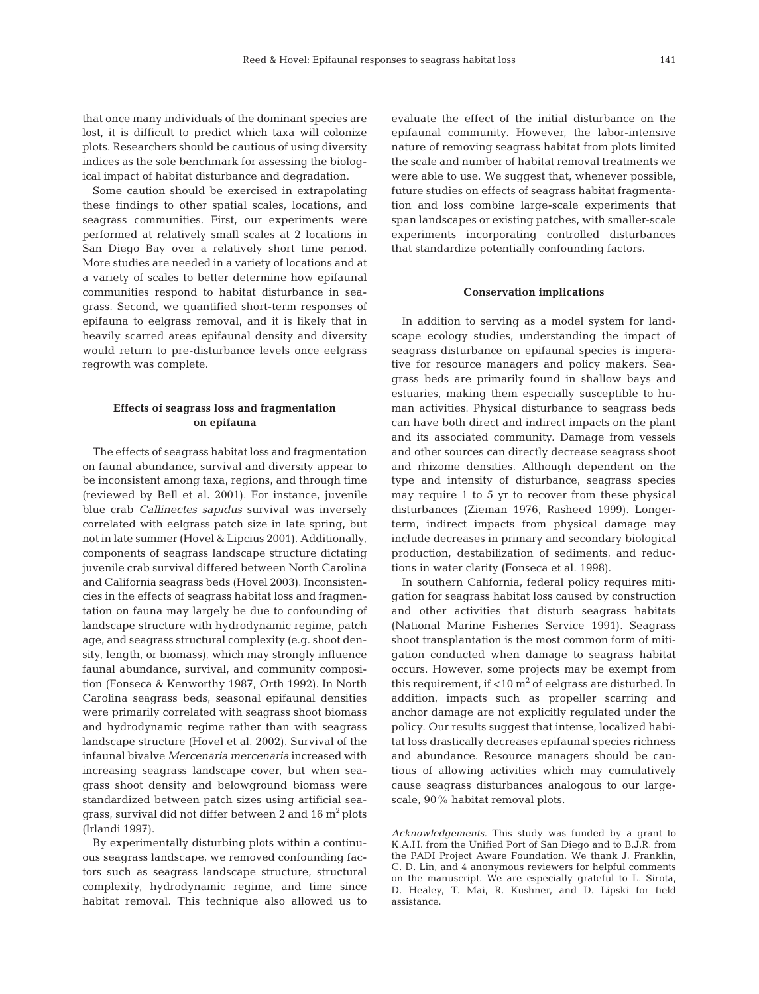that once many individuals of the dominant species are lost, it is difficult to predict which taxa will colonize plots. Researchers should be cautious of using diversity indices as the sole benchmark for assessing the biological impact of habitat disturbance and degradation.

Some caution should be exercised in extrapolating these findings to other spatial scales, locations, and seagrass communities. First, our experiments were performed at relatively small scales at 2 locations in San Diego Bay over a relatively short time period. More studies are needed in a variety of locations and at a variety of scales to better determine how epifaunal communities respond to habitat disturbance in seagrass. Second, we quantified short-term responses of epifauna to eelgrass removal, and it is likely that in heavily scarred areas epifaunal density and diversity would return to pre-disturbance levels once eelgrass regrowth was complete.

# **Effects of seagrass loss and fragmentation on epifauna**

The effects of seagrass habitat loss and fragmentation on faunal abundance, survival and diversity appear to be inconsistent among taxa, regions, and through time (reviewed by Bell et al. 2001). For instance, juvenile blue crab *Callinectes sapidus* survival was inversely correlated with eelgrass patch size in late spring, but not in late summer (Hovel & Lipcius 2001). Additionally, components of seagrass landscape structure dictating juvenile crab survival differed between North Carolina and California seagrass beds (Hovel 2003). Inconsistencies in the effects of seagrass habitat loss and fragmentation on fauna may largely be due to confounding of landscape structure with hydrodynamic regime, patch age, and seagrass structural complexity (e.g. shoot density, length, or biomass), which may strongly influence faunal abundance, survival, and community composition (Fonseca & Kenworthy 1987, Orth 1992). In North Carolina seagrass beds, seasonal epifaunal densities were primarily correlated with seagrass shoot biomass and hydrodynamic regime rather than with seagrass landscape structure (Hovel et al. 2002). Survival of the infaunal bivalve *Mercenaria mercenaria* increased with increasing seagrass landscape cover, but when seagrass shoot density and belowground biomass were standardized between patch sizes using artificial seagrass, survival did not differ between 2 and  $16 \text{ m}^2$  plots (Irlandi 1997).

By experimentally disturbing plots within a continuous seagrass landscape, we removed confounding factors such as seagrass landscape structure, structural complexity, hydrodynamic regime, and time since habitat removal. This technique also allowed us to evaluate the effect of the initial disturbance on the epifaunal community. However, the labor-intensive nature of removing seagrass habitat from plots limited the scale and number of habitat removal treatments we were able to use. We suggest that, whenever possible, future studies on effects of seagrass habitat fragmentation and loss combine large-scale experiments that span landscapes or existing patches, with smaller-scale experiments incorporating controlled disturbances that standardize potentially confounding factors.

#### **Conservation implications**

In addition to serving as a model system for landscape ecology studies, understanding the impact of seagrass disturbance on epifaunal species is imperative for resource managers and policy makers. Seagrass beds are primarily found in shallow bays and estuaries, making them especially susceptible to human activities. Physical disturbance to seagrass beds can have both direct and indirect impacts on the plant and its associated community. Damage from vessels and other sources can directly decrease seagrass shoot and rhizome densities. Although dependent on the type and intensity of disturbance, seagrass species may require 1 to 5 yr to recover from these physical disturbances (Zieman 1976, Rasheed 1999). Longerterm, indirect impacts from physical damage may include decreases in primary and secondary biological production, destabilization of sediments, and reductions in water clarity (Fonseca et al. 1998).

In southern California, federal policy requires mitigation for seagrass habitat loss caused by construction and other activities that disturb seagrass habitats (National Marine Fisheries Service 1991). Seagrass shoot transplantation is the most common form of mitigation conducted when damage to seagrass habitat occurs. However, some projects may be exempt from this requirement, if  $<$ 10 m<sup>2</sup> of eelgrass are disturbed. In addition, impacts such as propeller scarring and anchor damage are not explicitly regulated under the policy. Our results suggest that intense, localized habitat loss drastically decreases epifaunal species richness and abundance. Resource managers should be cautious of allowing activities which may cumulatively cause seagrass disturbances analogous to our largescale, 90% habitat removal plots.

*Acknowledgements.* This study was funded by a grant to K.A.H. from the Unified Port of San Diego and to B.J.R. from the PADI Project Aware Foundation. We thank J. Franklin, C. D. Lin, and 4 anonymous reviewers for helpful comments on the manuscript. We are especially grateful to L. Sirota, D. Healey, T. Mai, R. Kushner, and D. Lipski for field assistance.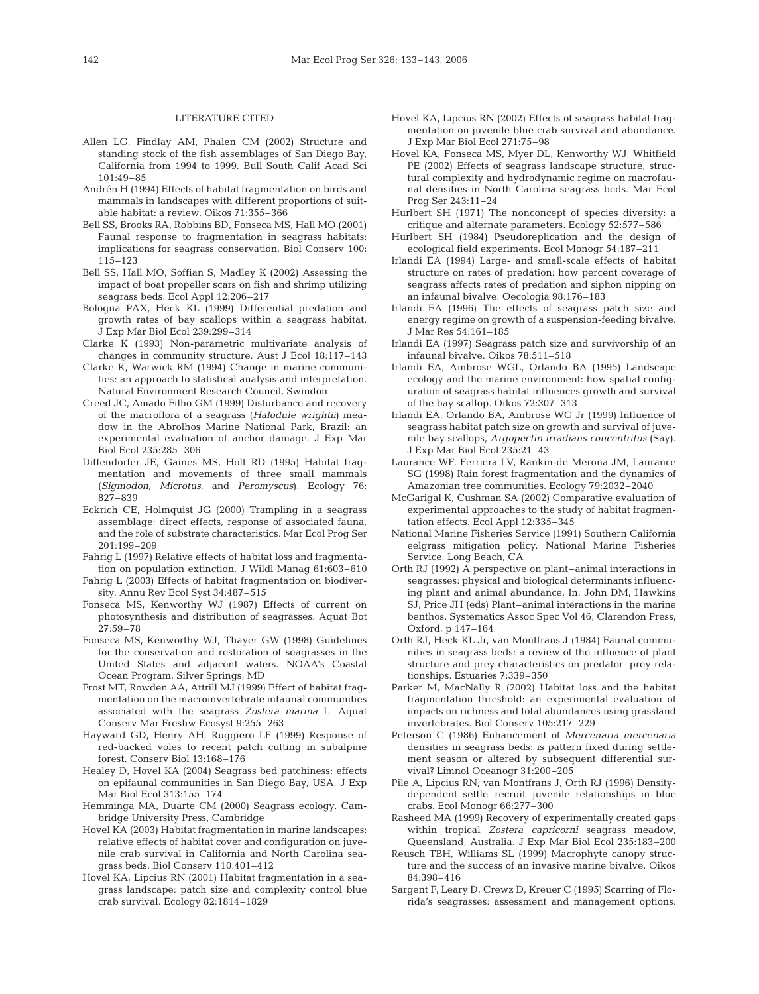### LITERATURE CITED

- Allen LG, Findlay AM, Phalen CM (2002) Structure and standing stock of the fish assemblages of San Diego Bay, California from 1994 to 1999. Bull South Calif Acad Sci 101:49–85
- Andrén H (1994) Effects of habitat fragmentation on birds and mammals in landscapes with different proportions of suitable habitat: a review. Oikos 71:355–366
- Bell SS, Brooks RA, Robbins BD, Fonseca MS, Hall MO (2001) Faunal response to fragmentation in seagrass habitats: implications for seagrass conservation. Biol Conserv 100: 115–123
- Bell SS, Hall MO, Soffian S, Madley K (2002) Assessing the impact of boat propeller scars on fish and shrimp utilizing seagrass beds. Ecol Appl 12:206–217
- Bologna PAX, Heck KL (1999) Differential predation and growth rates of bay scallops within a seagrass habitat. J Exp Mar Biol Ecol 239:299–314
- Clarke K (1993) Non-parametric multivariate analysis of changes in community structure. Aust J Ecol 18:117–143
- Clarke K, Warwick RM (1994) Change in marine communities: an approach to statistical analysis and interpretation. Natural Environment Research Council, Swindon
- Creed JC, Amado Filho GM (1999) Disturbance and recovery of the macroflora of a seagrass (*Halodule wrightii*) meadow in the Abrolhos Marine National Park, Brazil: an experimental evaluation of anchor damage. J Exp Mar Biol Ecol 235:285–306
- Diffendorfer JE, Gaines MS, Holt RD (1995) Habitat fragmentation and movements of three small mammals (*Sigmodon, Microtus,* and *Peromyscus*). Ecology 76: 827–839
- Eckrich CE, Holmquist JG (2000) Trampling in a seagrass assemblage: direct effects, response of associated fauna, and the role of substrate characteristics. Mar Ecol Prog Ser 201:199–209
- Fahrig L (1997) Relative effects of habitat loss and fragmentation on population extinction. J Wildl Manag 61:603–610
- Fahrig L (2003) Effects of habitat fragmentation on biodiversity. Annu Rev Ecol Syst 34:487–515
- Fonseca MS, Kenworthy WJ (1987) Effects of current on photosynthesis and distribution of seagrasses. Aquat Bot 27:59–78
- Fonseca MS, Kenworthy WJ, Thayer GW (1998) Guidelines for the conservation and restoration of seagrasses in the United States and adjacent waters. NOAA's Coastal Ocean Program, Silver Springs, MD
- Frost MT, Rowden AA, Attrill MJ (1999) Effect of habitat fragmentation on the macroinvertebrate infaunal communities associated with the seagrass *Zostera marina* L. Aquat Conserv Mar Freshw Ecosyst 9:255–263
- Hayward GD, Henry AH, Ruggiero LF (1999) Response of red-backed voles to recent patch cutting in subalpine forest. Conserv Biol 13:168–176
- Healey D, Hovel KA (2004) Seagrass bed patchiness: effects on epifaunal communities in San Diego Bay, USA. J Exp Mar Biol Ecol 313:155–174
- Hemminga MA, Duarte CM (2000) Seagrass ecology. Cambridge University Press, Cambridge
- Hovel KA (2003) Habitat fragmentation in marine landscapes: relative effects of habitat cover and configuration on juvenile crab survival in California and North Carolina seagrass beds. Biol Conserv 110:401–412
- Hovel KA, Lipcius RN (2001) Habitat fragmentation in a seagrass landscape: patch size and complexity control blue crab survival. Ecology 82:1814–1829
- Hovel KA, Lipcius RN (2002) Effects of seagrass habitat fragmentation on juvenile blue crab survival and abundance. J Exp Mar Biol Ecol 271:75–98
- Hovel KA, Fonseca MS, Myer DL, Kenworthy WJ, Whitfield PE (2002) Effects of seagrass landscape structure, structural complexity and hydrodynamic regime on macrofaunal densities in North Carolina seagrass beds. Mar Ecol Prog Ser 243:11–24
- Hurlbert SH (1971) The nonconcept of species diversity: a critique and alternate parameters. Ecology 52:577–586
- Hurlbert SH (1984) Pseudoreplication and the design of ecological field experiments. Ecol Monogr 54:187–211
- Irlandi EA (1994) Large- and small-scale effects of habitat structure on rates of predation: how percent coverage of seagrass affects rates of predation and siphon nipping on an infaunal bivalve. Oecologia 98:176–183
- Irlandi EA (1996) The effects of seagrass patch size and energy regime on growth of a suspension-feeding bivalve. J Mar Res 54:161–185
- Irlandi EA (1997) Seagrass patch size and survivorship of an infaunal bivalve. Oikos 78:511–518
- Irlandi EA, Ambrose WGL, Orlando BA (1995) Landscape ecology and the marine environment: how spatial configuration of seagrass habitat influences growth and survival of the bay scallop. Oikos 72:307–313
- Irlandi EA, Orlando BA, Ambrose WG Jr (1999) Influence of seagrass habitat patch size on growth and survival of juvenile bay scallops, *Argopectin irradians concentritus* (Say). J Exp Mar Biol Ecol 235:21–43
- Laurance WF, Ferriera LV, Rankin-de Merona JM, Laurance SG (1998) Rain forest fragmentation and the dynamics of Amazonian tree communities. Ecology 79:2032–2040
- McGarigal K, Cushman SA (2002) Comparative evaluation of experimental approaches to the study of habitat fragmentation effects. Ecol Appl 12:335–345
- National Marine Fisheries Service (1991) Southern California eelgrass mitigation policy. National Marine Fisheries Service, Long Beach, CA
- Orth RJ (1992) A perspective on plant–animal interactions in seagrasses: physical and biological determinants influencing plant and animal abundance. In: John DM, Hawkins SJ, Price JH (eds) Plant–animal interactions in the marine benthos. Systematics Assoc Spec Vol 46, Clarendon Press, Oxford, p 147–164
- Orth RJ, Heck KL Jr, van Montfrans J (1984) Faunal communities in seagrass beds: a review of the influence of plant structure and prey characteristics on predator–prey relationships. Estuaries 7:339–350
- Parker M, MacNally R (2002) Habitat loss and the habitat fragmentation threshold: an experimental evaluation of impacts on richness and total abundances using grassland invertebrates. Biol Conserv 105:217–229
- Peterson C (1986) Enhancement of *Mercenaria mercenaria* densities in seagrass beds: is pattern fixed during settlement season or altered by subsequent differential survival? Limnol Oceanogr 31:200–205
- Pile A, Lipcius RN, van Montfrans J, Orth RJ (1996) Densitydependent settle–recruit–juvenile relationships in blue crabs. Ecol Monogr 66:277–300
- Rasheed MA (1999) Recovery of experimentally created gaps within tropical *Zostera capricorni* seagrass meadow, Queensland, Australia. J Exp Mar Biol Ecol 235:183–200
- Reusch TBH, Williams SL (1999) Macrophyte canopy structure and the success of an invasive marine bivalve. Oikos 84:398–416
- Sargent F, Leary D, Crewz D, Kreuer C (1995) Scarring of Florida's seagrasses: assessment and management options.